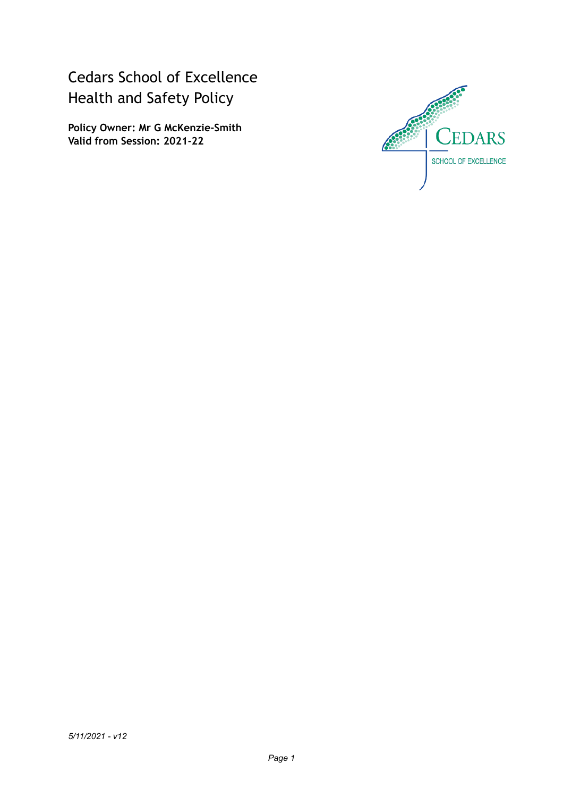Cedars School of Excellence Health and Safety Policy

**Policy Owner: Mr G McKenzie-Smith Valid from Session: 2021-22**

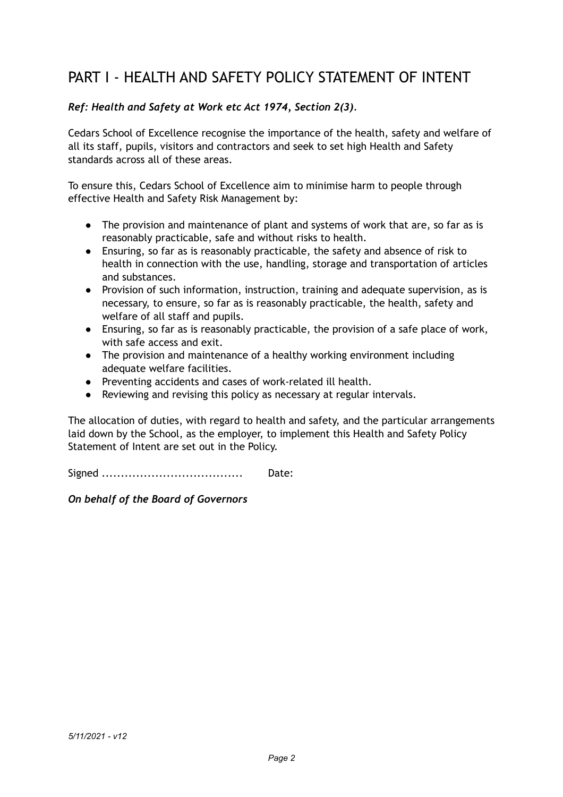# PART I - HEALTH AND SAFETY POLICY STATEMENT OF INTENT

## *Ref: Health and Safety at Work etc Act 1974, Section 2(3).*

Cedars School of Excellence recognise the importance of the health, safety and welfare of all its staff, pupils, visitors and contractors and seek to set high Health and Safety standards across all of these areas.

To ensure this, Cedars School of Excellence aim to minimise harm to people through effective Health and Safety Risk Management by:

- The provision and maintenance of plant and systems of work that are, so far as is reasonably practicable, safe and without risks to health.
- Ensuring, so far as is reasonably practicable, the safety and absence of risk to health in connection with the use, handling, storage and transportation of articles and substances.
- Provision of such information, instruction, training and adequate supervision, as is necessary, to ensure, so far as is reasonably practicable, the health, safety and welfare of all staff and pupils.
- Ensuring, so far as is reasonably practicable, the provision of a safe place of work, with safe access and exit.
- The provision and maintenance of a healthy working environment including adequate welfare facilities.
- Preventing accidents and cases of work-related ill health.
- Reviewing and revising this policy as necessary at regular intervals.

The allocation of duties, with regard to health and safety, and the particular arrangements laid down by the School, as the employer, to implement this Health and Safety Policy Statement of Intent are set out in the Policy.

Signed ..................................... Date:

*On behalf of the Board of Governors*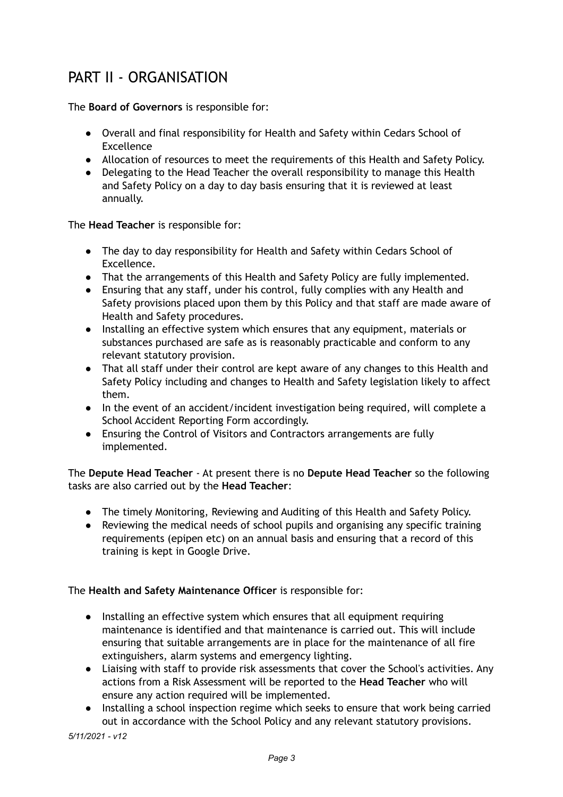# PART II - ORGANISATION

The **Board of Governors** is responsible for:

- Overall and final responsibility for Health and Safety within Cedars School of Excellence
- Allocation of resources to meet the requirements of this Health and Safety Policy.
- Delegating to the Head Teacher the overall responsibility to manage this Health and Safety Policy on a day to day basis ensuring that it is reviewed at least annually.

The **Head Teacher** is responsible for:

- The day to day responsibility for Health and Safety within Cedars School of Excellence.
- That the arrangements of this Health and Safety Policy are fully implemented.
- Ensuring that any staff, under his control, fully complies with any Health and Safety provisions placed upon them by this Policy and that staff are made aware of Health and Safety procedures.
- Installing an effective system which ensures that any equipment, materials or substances purchased are safe as is reasonably practicable and conform to any relevant statutory provision.
- That all staff under their control are kept aware of any changes to this Health and Safety Policy including and changes to Health and Safety legislation likely to affect them.
- In the event of an accident/incident investigation being required, will complete a School Accident Reporting Form accordingly.
- Ensuring the Control of Visitors and Contractors arrangements are fully implemented.

The **Depute Head Teacher** - At present there is no **Depute Head Teacher** so the following tasks are also carried out by the **Head Teacher**:

- The timely Monitoring, Reviewing and Auditing of this Health and Safety Policy.
- Reviewing the medical needs of school pupils and organising any specific training requirements (epipen etc) on an annual basis and ensuring that a record of this training is kept in Google Drive.

The **Health and Safety Maintenance Officer** is responsible for:

- Installing an effective system which ensures that all equipment requiring maintenance is identified and that maintenance is carried out. This will include ensuring that suitable arrangements are in place for the maintenance of all fire extinguishers, alarm systems and emergency lighting.
- Liaising with staff to provide risk assessments that cover the School's activities. Any actions from a Risk Assessment will be reported to the **Head Teacher** who will ensure any action required will be implemented.
- Installing a school inspection regime which seeks to ensure that work being carried out in accordance with the School Policy and any relevant statutory provisions.

*5/11/2021 - v12*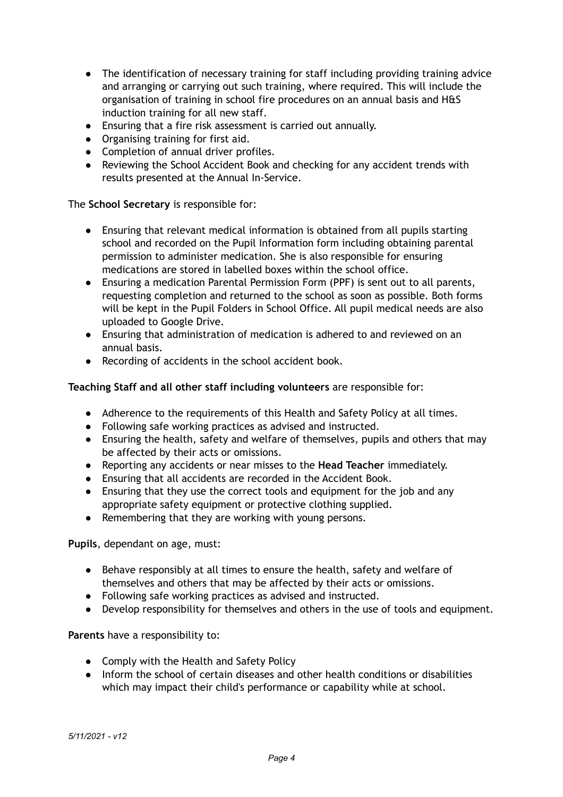- The identification of necessary training for staff including providing training advice and arranging or carrying out such training, where required. This will include the organisation of training in school fire procedures on an annual basis and H&S induction training for all new staff.
- Ensuring that a fire risk assessment is carried out annually.
- Organising training for first aid.
- Completion of annual driver profiles.
- Reviewing the School Accident Book and checking for any accident trends with results presented at the Annual In-Service.

The **School Secretary** is responsible for:

- Ensuring that relevant medical information is obtained from all pupils starting school and recorded on the Pupil Information form including obtaining parental permission to administer medication. She is also responsible for ensuring medications are stored in labelled boxes within the school office.
- Ensuring a medication Parental Permission Form (PPF) is sent out to all parents, requesting completion and returned to the school as soon as possible. Both forms will be kept in the Pupil Folders in School Office. All pupil medical needs are also uploaded to Google Drive.
- Ensuring that administration of medication is adhered to and reviewed on an annual basis.
- Recording of accidents in the school accident book.

#### **Teaching Staff and all other staff including volunteers** are responsible for:

- Adherence to the requirements of this Health and Safety Policy at all times.
- Following safe working practices as advised and instructed.
- Ensuring the health, safety and welfare of themselves, pupils and others that may be affected by their acts or omissions.
- Reporting any accidents or near misses to the **Head Teacher** immediately.
- Ensuring that all accidents are recorded in the Accident Book.
- Ensuring that they use the correct tools and equipment for the job and any appropriate safety equipment or protective clothing supplied.
- Remembering that they are working with young persons.

**Pupils**, dependant on age, must:

- Behave responsibly at all times to ensure the health, safety and welfare of themselves and others that may be affected by their acts or omissions.
- Following safe working practices as advised and instructed.
- Develop responsibility for themselves and others in the use of tools and equipment.

**Parents** have a responsibility to:

- Comply with the Health and Safety Policy
- Inform the school of certain diseases and other health conditions or disabilities which may impact their child's performance or capability while at school.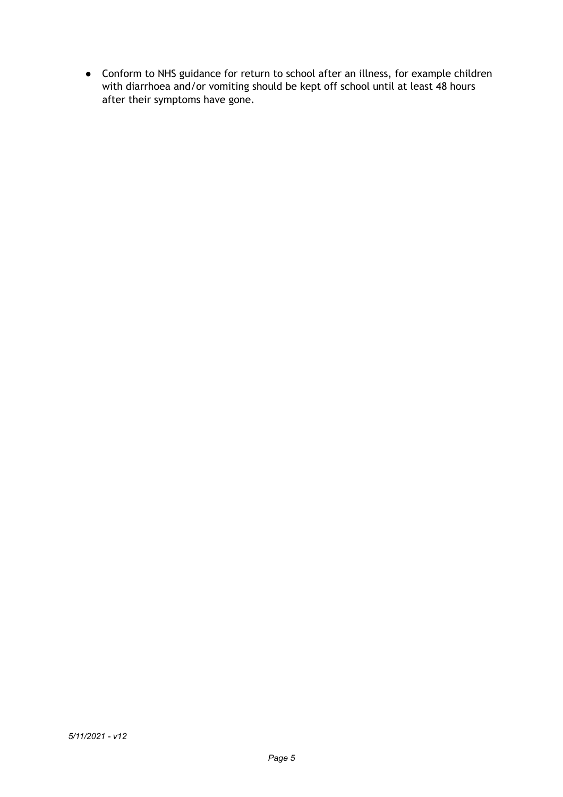● Conform to NHS guidance for return to school after an illness, for example children with diarrhoea and/or vomiting should be kept off school until at least 48 hours after their symptoms have gone.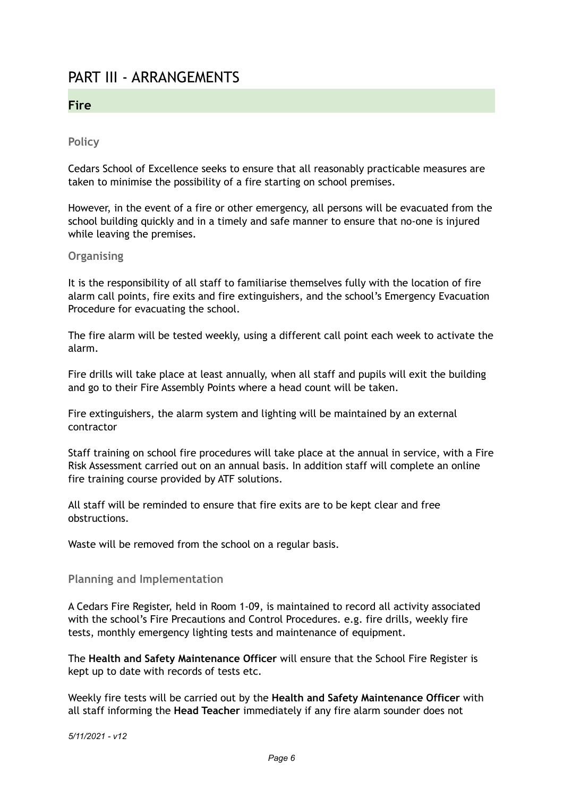# PART III - ARRANGEMENTS

## **Fire**

## **Policy**

Cedars School of Excellence seeks to ensure that all reasonably practicable measures are taken to minimise the possibility of a fire starting on school premises.

However, in the event of a fire or other emergency, all persons will be evacuated from the school building quickly and in a timely and safe manner to ensure that no-one is injured while leaving the premises.

#### **Organising**

It is the responsibility of all staff to familiarise themselves fully with the location of fire alarm call points, fire exits and fire extinguishers, and the school's Emergency Evacuation Procedure for evacuating the school.

The fire alarm will be tested weekly, using a different call point each week to activate the alarm.

Fire drills will take place at least annually, when all staff and pupils will exit the building and go to their Fire Assembly Points where a head count will be taken.

Fire extinguishers, the alarm system and lighting will be maintained by an external contractor

Staff training on school fire procedures will take place at the annual in service, with a Fire Risk Assessment carried out on an annual basis. In addition staff will complete an online fire training course provided by ATF solutions.

All staff will be reminded to ensure that fire exits are to be kept clear and free obstructions.

Waste will be removed from the school on a regular basis.

#### **Planning and Implementation**

A Cedars Fire Register, held in Room 1-09, is maintained to record all activity associated with the school's Fire Precautions and Control Procedures. e.g. fire drills, weekly fire tests, monthly emergency lighting tests and maintenance of equipment.

The **Health and Safety Maintenance Officer** will ensure that the School Fire Register is kept up to date with records of tests etc.

Weekly fire tests will be carried out by the **Health and Safety Maintenance Officer** with all staff informing the **Head Teacher** immediately if any fire alarm sounder does not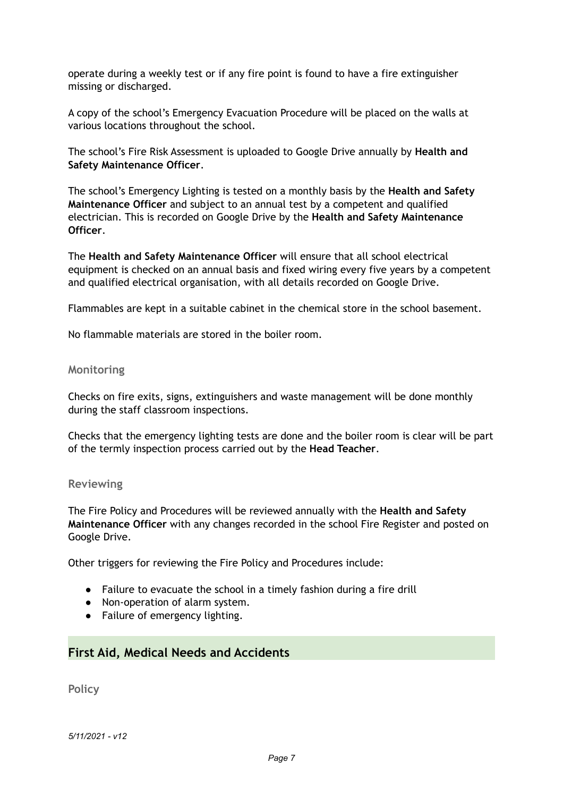operate during a weekly test or if any fire point is found to have a fire extinguisher missing or discharged.

A copy of the school's Emergency Evacuation Procedure will be placed on the walls at various locations throughout the school.

The school's Fire Risk Assessment is uploaded to Google Drive annually by **Health and Safety Maintenance Officer**.

The school's Emergency Lighting is tested on a monthly basis by the **Health and Safety Maintenance Officer** and subject to an annual test by a competent and qualified electrician. This is recorded on Google Drive by the **Health and Safety Maintenance Officer**.

The **Health and Safety Maintenance Officer** will ensure that all school electrical equipment is checked on an annual basis and fixed wiring every five years by a competent and qualified electrical organisation, with all details recorded on Google Drive.

Flammables are kept in a suitable cabinet in the chemical store in the school basement.

No flammable materials are stored in the boiler room.

#### **Monitoring**

Checks on fire exits, signs, extinguishers and waste management will be done monthly during the staff classroom inspections.

Checks that the emergency lighting tests are done and the boiler room is clear will be part of the termly inspection process carried out by the **Head Teacher**.

#### **Reviewing**

The Fire Policy and Procedures will be reviewed annually with the **Health and Safety Maintenance Officer** with any changes recorded in the school Fire Register and posted on Google Drive.

Other triggers for reviewing the Fire Policy and Procedures include:

- Failure to evacuate the school in a timely fashion during a fire drill
- Non-operation of alarm system.
- Failure of emergency lighting.

## **First Aid, Medical Needs and Accidents**

**Policy**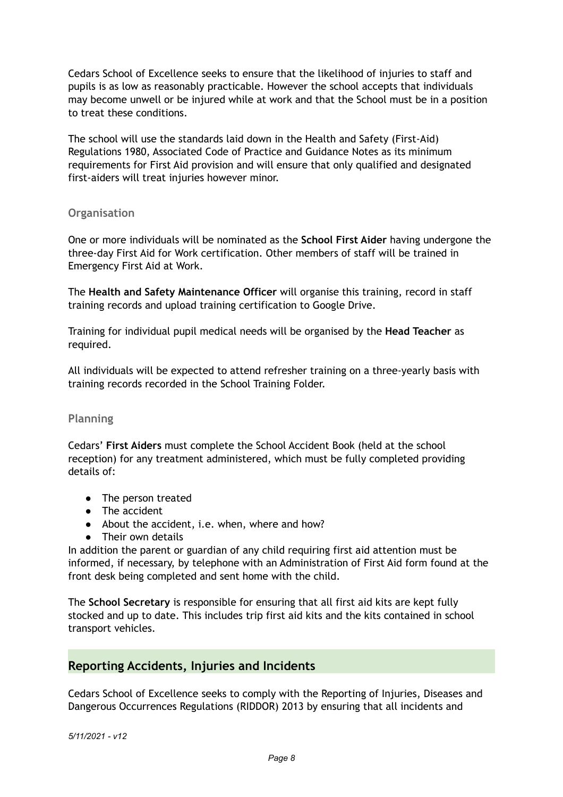Cedars School of Excellence seeks to ensure that the likelihood of injuries to staff and pupils is as low as reasonably practicable. However the school accepts that individuals may become unwell or be injured while at work and that the School must be in a position to treat these conditions.

The school will use the standards laid down in the Health and Safety (First-Aid) Regulations 1980, Associated Code of Practice and Guidance Notes as its minimum requirements for First Aid provision and will ensure that only qualified and designated first-aiders will treat injuries however minor.

## **Organisation**

One or more individuals will be nominated as the **School First Aider** having undergone the three-day First Aid for Work certification. Other members of staff will be trained in Emergency First Aid at Work.

The **Health and Safety Maintenance Officer** will organise this training, record in staff training records and upload training certification to Google Drive.

Training for individual pupil medical needs will be organised by the **Head Teacher** as required.

All individuals will be expected to attend refresher training on a three-yearly basis with training records recorded in the School Training Folder.

## **Planning**

Cedars' **First Aiders** must complete the School Accident Book (held at the school reception) for any treatment administered, which must be fully completed providing details of:

- The person treated
- The accident
- About the accident, i.e. when, where and how?
- Their own details

In addition the parent or guardian of any child requiring first aid attention must be informed, if necessary, by telephone with an Administration of First Aid form found at the front desk being completed and sent home with the child.

The **School Secretary** is responsible for ensuring that all first aid kits are kept fully stocked and up to date. This includes trip first aid kits and the kits contained in school transport vehicles.

## **Reporting Accidents, Injuries and Incidents**

Cedars School of Excellence seeks to comply with the Reporting of Injuries, Diseases and Dangerous Occurrences Regulations (RIDDOR) 2013 by ensuring that all incidents and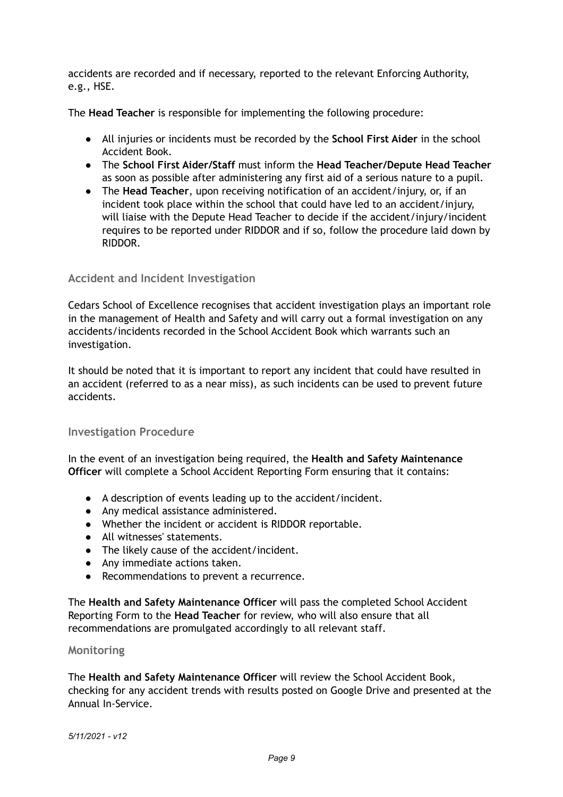accidents are recorded and if necessary, reported to the relevant Enforcing Authority, e.g., HSE.

The **Head Teacher** is responsible for implementing the following procedure:

- All injuries or incidents must be recorded by the **School First Aider** in the school Accident Book.
- The **School First Aider/Staff** must inform the **Head Teacher/Depute Head Teacher** as soon as possible after administering any first aid of a serious nature to a pupil.
- The **Head Teacher**, upon receiving notification of an accident/injury, or, if an incident took place within the school that could have led to an accident/injury, will liaise with the Depute Head Teacher to decide if the accident/injury/incident requires to be reported under RIDDOR and if so, follow the procedure laid down by RIDDOR.

#### **Accident and Incident Investigation**

Cedars School of Excellence recognises that accident investigation plays an important role in the management of Health and Safety and will carry out a formal investigation on any accidents/incidents recorded in the School Accident Book which warrants such an investigation.

It should be noted that it is important to report any incident that could have resulted in an accident (referred to as a near miss), as such incidents can be used to prevent future accidents.

#### **Investigation Procedure**

In the event of an investigation being required, the **Health and Safety Maintenance Officer** will complete a School Accident Reporting Form ensuring that it contains:

- A description of events leading up to the accident/incident.
- Any medical assistance administered.
- Whether the incident or accident is RIDDOR reportable.
- All witnesses' statements.
- The likely cause of the accident/incident.
- Any immediate actions taken.
- Recommendations to prevent a recurrence.

The **Health and Safety Maintenance Officer** will pass the completed School Accident Reporting Form to the **Head Teacher** for review, who will also ensure that all recommendations are promulgated accordingly to all relevant staff.

#### **Monitoring**

The **Health and Safety Maintenance Officer** will review the School Accident Book, checking for any accident trends with results posted on Google Drive and presented at the Annual In-Service.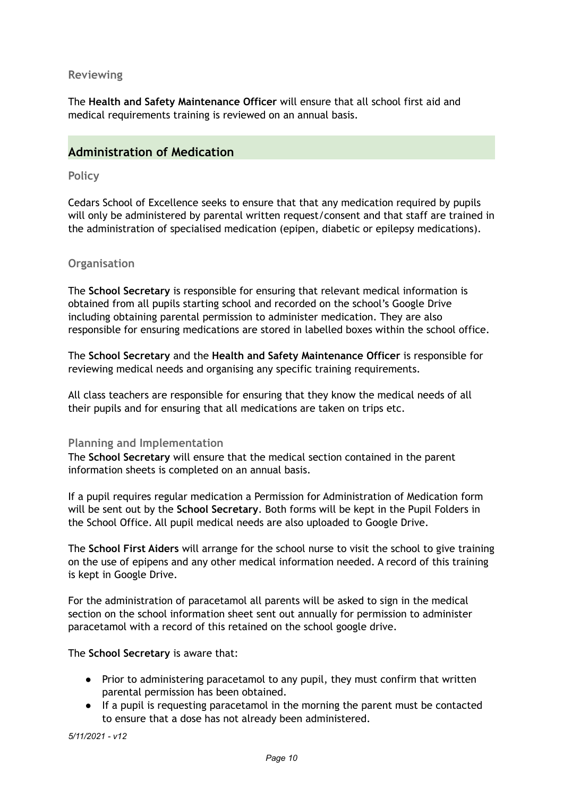#### **Reviewing**

The **Health and Safety Maintenance Officer** will ensure that all school first aid and medical requirements training is reviewed on an annual basis.

## **Administration of Medication**

#### **Policy**

Cedars School of Excellence seeks to ensure that that any medication required by pupils will only be administered by parental written request/consent and that staff are trained in the administration of specialised medication (epipen, diabetic or epilepsy medications).

#### **Organisation**

The **School Secretary** is responsible for ensuring that relevant medical information is obtained from all pupils starting school and recorded on the school's Google Drive including obtaining parental permission to administer medication. They are also responsible for ensuring medications are stored in labelled boxes within the school office.

The **School Secretary** and the **Health and Safety Maintenance Officer** is responsible for reviewing medical needs and organising any specific training requirements.

All class teachers are responsible for ensuring that they know the medical needs of all their pupils and for ensuring that all medications are taken on trips etc.

#### **Planning and Implementation**

The **School Secretary** will ensure that the medical section contained in the parent information sheets is completed on an annual basis.

If a pupil requires regular medication a Permission for Administration of Medication form will be sent out by the **School Secretary**. Both forms will be kept in the Pupil Folders in the School Office. All pupil medical needs are also uploaded to Google Drive.

The **School First Aiders** will arrange for the school nurse to visit the school to give training on the use of epipens and any other medical information needed. A record of this training is kept in Google Drive.

For the administration of paracetamol all parents will be asked to sign in the medical section on the school information sheet sent out annually for permission to administer paracetamol with a record of this retained on the school google drive.

The **School Secretary** is aware that:

- Prior to administering paracetamol to any pupil, they must confirm that written parental permission has been obtained.
- If a pupil is requesting paracetamol in the morning the parent must be contacted to ensure that a dose has not already been administered.

*5/11/2021 - v12*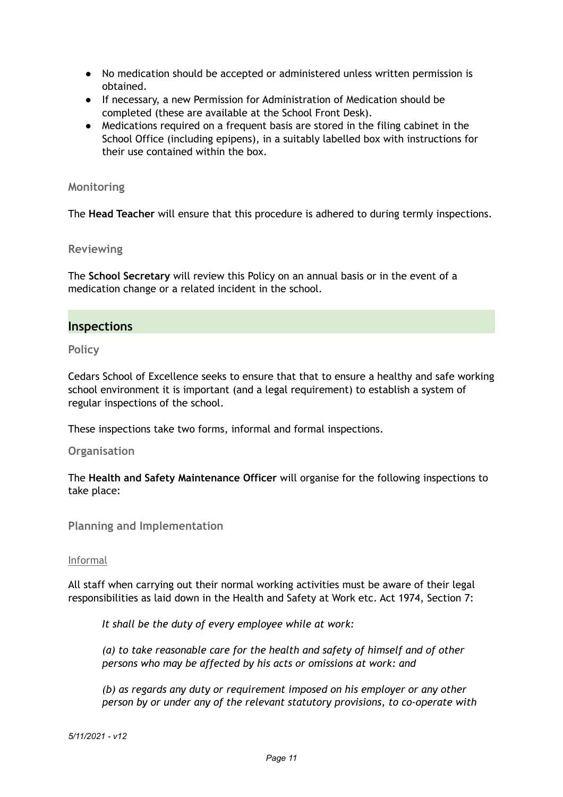- No medication should be accepted or administered unless written permission is obtained.
- If necessary, a new Permission for Administration of Medication should be completed (these are available at the School Front Desk).
- Medications required on a frequent basis are stored in the filing cabinet in the School Office (including epipens), in a suitably labelled box with instructions for their use contained within the box.

### **Monitoring**

The **Head Teacher** will ensure that this procedure is adhered to during termly inspections.

#### **Reviewing**

The **School Secretary** will review this Policy on an annual basis or in the event of a medication change or a related incident in the school.

## **Inspections**

**Policy**

Cedars School of Excellence seeks to ensure that that to ensure a healthy and safe working school environment it is important (and a legal requirement) to establish a system of regular inspections of the school.

These inspections take two forms, informal and formal inspections.

#### **Organisation**

The **Health and Safety Maintenance Officer** will organise for the following inspections to take place:

**Planning and Implementation**

#### Informal

All staff when carrying out their normal working activities must be aware of their legal responsibilities as laid down in the Health and Safety at Work etc. Act 1974, Section 7:

*It shall be the duty of every employee while at work:*

*(a) to take reasonable care for the health and safety of himself and of other persons who may be affected by his acts or omissions at work: and*

*(b) as regards any duty or requirement imposed on his employer or any other person by or under any of the relevant statutory provisions, to co-operate with*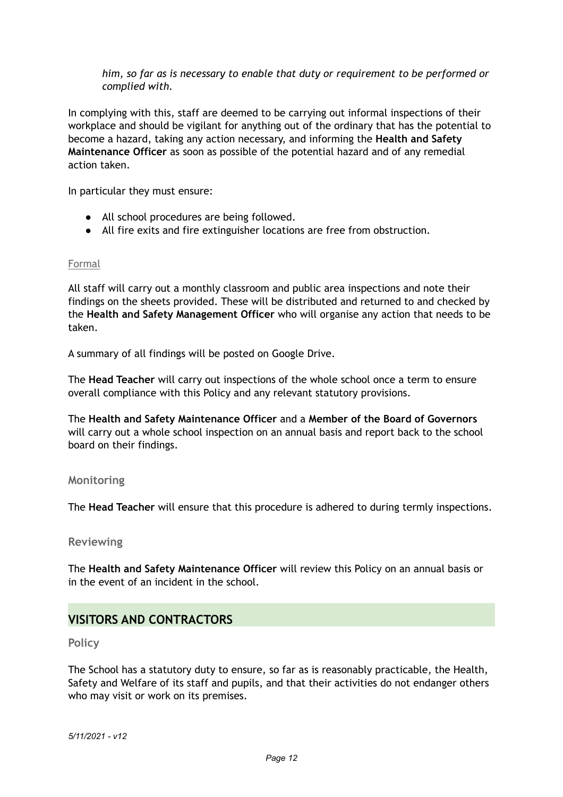*him, so far as is necessary to enable that duty or requirement to be performed or complied with.*

In complying with this, staff are deemed to be carrying out informal inspections of their workplace and should be vigilant for anything out of the ordinary that has the potential to become a hazard, taking any action necessary, and informing the **Health and Safety Maintenance Officer** as soon as possible of the potential hazard and of any remedial action taken.

In particular they must ensure:

- All school procedures are being followed.
- All fire exits and fire extinguisher locations are free from obstruction.

#### Formal

All staff will carry out a monthly classroom and public area inspections and note their findings on the sheets provided. These will be distributed and returned to and checked by the **Health and Safety Management Officer** who will organise any action that needs to be taken.

A summary of all findings will be posted on Google Drive.

The **Head Teacher** will carry out inspections of the whole school once a term to ensure overall compliance with this Policy and any relevant statutory provisions.

The **Health and Safety Maintenance Officer** and a **Member of the Board of Governors** will carry out a whole school inspection on an annual basis and report back to the school board on their findings.

#### **Monitoring**

The **Head Teacher** will ensure that this procedure is adhered to during termly inspections.

#### **Reviewing**

The **Health and Safety Maintenance Officer** will review this Policy on an annual basis or in the event of an incident in the school.

## **VISITORS AND CONTRACTORS**

**Policy**

The School has a statutory duty to ensure, so far as is reasonably practicable, the Health, Safety and Welfare of its staff and pupils, and that their activities do not endanger others who may visit or work on its premises.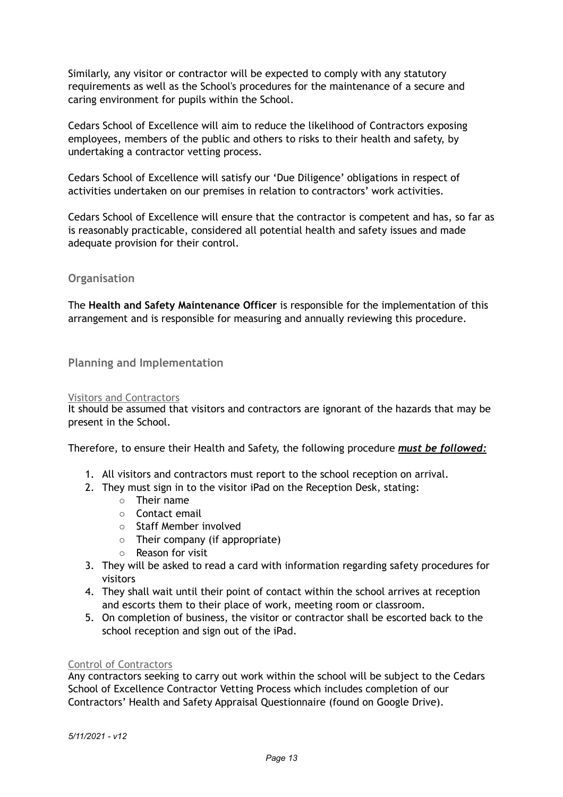Similarly, any visitor or contractor will be expected to comply with any statutory requirements as well as the School's procedures for the maintenance of a secure and caring environment for pupils within the School.

Cedars School of Excellence will aim to reduce the likelihood of Contractors exposing employees, members of the public and others to risks to their health and safety, by undertaking a contractor vetting process.

Cedars School of Excellence will satisfy our 'Due Diligence' obligations in respect of activities undertaken on our premises in relation to contractors' work activities.

Cedars School of Excellence will ensure that the contractor is competent and has, so far as is reasonably practicable, considered all potential health and safety issues and made adequate provision for their control.

#### **Organisation**

The **Health and Safety Maintenance Officer** is responsible for the implementation of this arrangement and is responsible for measuring and annually reviewing this procedure.

**Planning and Implementation**

#### Visitors and Contractors

It should be assumed that visitors and contractors are ignorant of the hazards that may be present in the School.

Therefore, to ensure their Health and Safety, the following procedure *must be followed:*

- 1. All visitors and contractors must report to the school reception on arrival.
- 2. They must sign in to the visitor iPad on the Reception Desk, stating:
	- Their name
	- Contact email
	- Staff Member involved
	- Their company (if appropriate)
	- Reason for visit
- 3. They will be asked to read a card with information regarding safety procedures for visitors
- 4. They shall wait until their point of contact within the school arrives at reception and escorts them to their place of work, meeting room or classroom.
- 5. On completion of business, the visitor or contractor shall be escorted back to the school reception and sign out of the iPad.

#### Control of Contractors

Any contractors seeking to carry out work within the school will be subject to the Cedars School of Excellence Contractor Vetting Process which includes completion of our Contractors' Health and Safety Appraisal Questionnaire (found on Google Drive).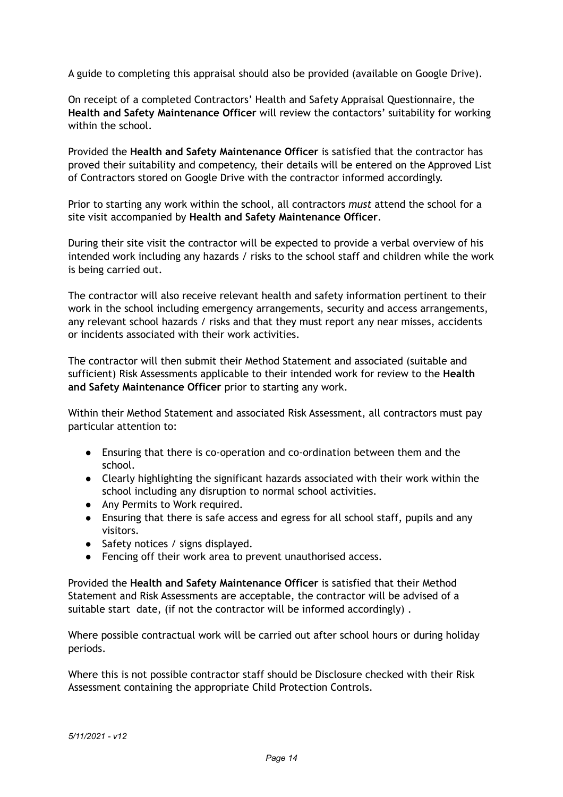A guide to completing this appraisal should also be provided (available on Google Drive).

On receipt of a completed Contractors' Health and Safety Appraisal Questionnaire, the **Health and Safety Maintenance Officer** will review the contactors' suitability for working within the school

Provided the **Health and Safety Maintenance Officer** is satisfied that the contractor has proved their suitability and competency, their details will be entered on the Approved List of Contractors stored on Google Drive with the contractor informed accordingly.

Prior to starting any work within the school, all contractors *must* attend the school for a site visit accompanied by **Health and Safety Maintenance Officer**.

During their site visit the contractor will be expected to provide a verbal overview of his intended work including any hazards / risks to the school staff and children while the work is being carried out.

The contractor will also receive relevant health and safety information pertinent to their work in the school including emergency arrangements, security and access arrangements, any relevant school hazards / risks and that they must report any near misses, accidents or incidents associated with their work activities.

The contractor will then submit their Method Statement and associated (suitable and sufficient) Risk Assessments applicable to their intended work for review to the **Health and Safety Maintenance Officer** prior to starting any work.

Within their Method Statement and associated Risk Assessment, all contractors must pay particular attention to:

- Ensuring that there is co-operation and co-ordination between them and the school.
- Clearly highlighting the significant hazards associated with their work within the school including any disruption to normal school activities.
- Any Permits to Work required.
- Ensuring that there is safe access and egress for all school staff, pupils and any visitors.
- Safety notices / signs displayed.
- Fencing off their work area to prevent unauthorised access.

Provided the **Health and Safety Maintenance Officer** is satisfied that their Method Statement and Risk Assessments are acceptable, the contractor will be advised of a suitable start date, (if not the contractor will be informed accordingly) .

Where possible contractual work will be carried out after school hours or during holiday periods.

Where this is not possible contractor staff should be Disclosure checked with their Risk Assessment containing the appropriate Child Protection Controls.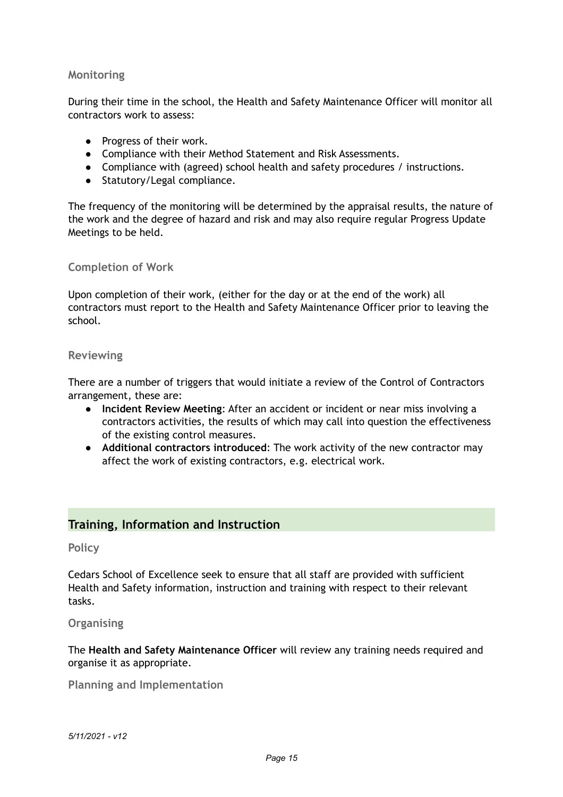#### **Monitoring**

During their time in the school, the Health and Safety Maintenance Officer will monitor all contractors work to assess:

- Progress of their work.
- Compliance with their Method Statement and Risk Assessments.
- Compliance with (agreed) school health and safety procedures / instructions.
- Statutory/Legal compliance.

The frequency of the monitoring will be determined by the appraisal results, the nature of the work and the degree of hazard and risk and may also require regular Progress Update Meetings to be held.

#### **Completion of Work**

Upon completion of their work, (either for the day or at the end of the work) all contractors must report to the Health and Safety Maintenance Officer prior to leaving the school.

#### **Reviewing**

There are a number of triggers that would initiate a review of the Control of Contractors arrangement, these are:

- **Incident Review Meeting**: After an accident or incident or near miss involving a contractors activities, the results of which may call into question the effectiveness of the existing control measures.
- **Additional contractors introduced**: The work activity of the new contractor may affect the work of existing contractors, e.g. electrical work.

## **Training, Information and Instruction**

#### **Policy**

Cedars School of Excellence seek to ensure that all staff are provided with sufficient Health and Safety information, instruction and training with respect to their relevant tasks.

#### **Organising**

The **Health and Safety Maintenance Officer** will review any training needs required and organise it as appropriate.

**Planning and Implementation**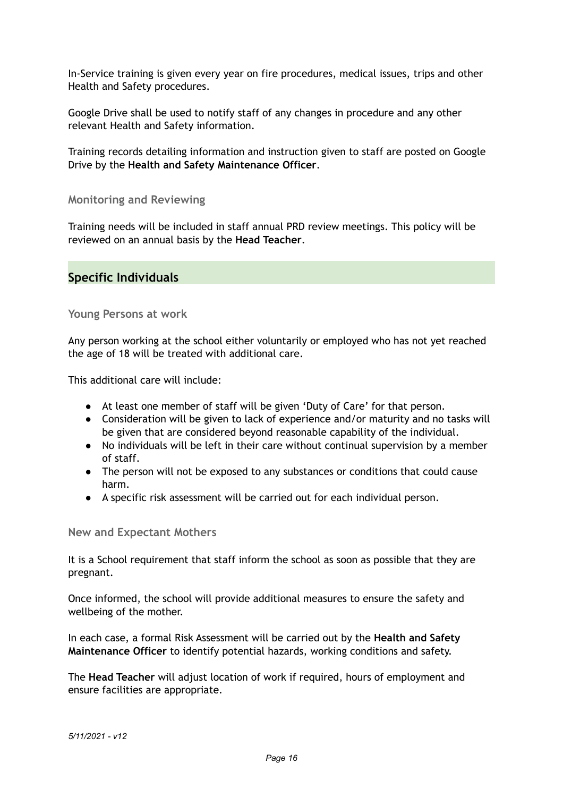In-Service training is given every year on fire procedures, medical issues, trips and other Health and Safety procedures.

Google Drive shall be used to notify staff of any changes in procedure and any other relevant Health and Safety information.

Training records detailing information and instruction given to staff are posted on Google Drive by the **Health and Safety Maintenance Officer**.

**Monitoring and Reviewing**

Training needs will be included in staff annual PRD review meetings. This policy will be reviewed on an annual basis by the **Head Teacher**.

## **Specific Individuals**

**Young Persons at work**

Any person working at the school either voluntarily or employed who has not yet reached the age of 18 will be treated with additional care.

This additional care will include:

- At least one member of staff will be given 'Duty of Care' for that person.
- Consideration will be given to lack of experience and/or maturity and no tasks will be given that are considered beyond reasonable capability of the individual.
- No individuals will be left in their care without continual supervision by a member of staff.
- The person will not be exposed to any substances or conditions that could cause harm.
- A specific risk assessment will be carried out for each individual person.

**New and Expectant Mothers**

It is a School requirement that staff inform the school as soon as possible that they are pregnant.

Once informed, the school will provide additional measures to ensure the safety and wellbeing of the mother.

In each case, a formal Risk Assessment will be carried out by the **Health and Safety Maintenance Officer** to identify potential hazards, working conditions and safety.

The **Head Teacher** will adjust location of work if required, hours of employment and ensure facilities are appropriate.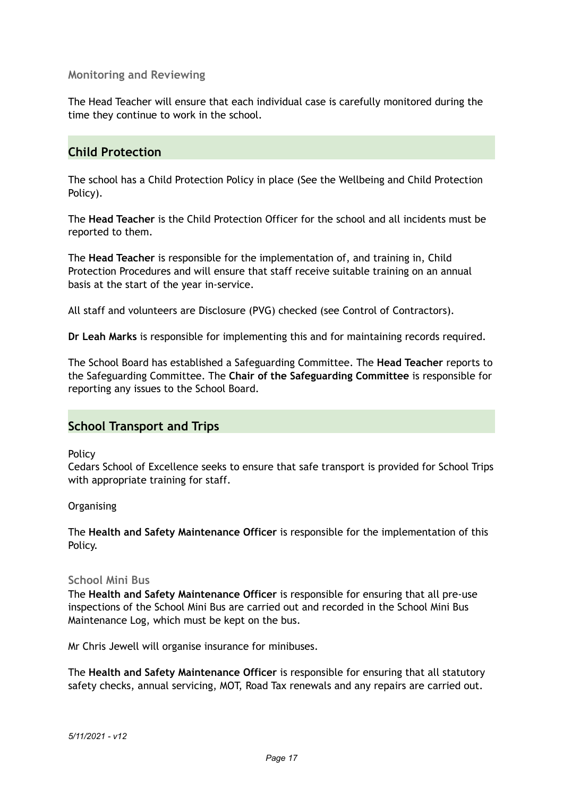#### **Monitoring and Reviewing**

The Head Teacher will ensure that each individual case is carefully monitored during the time they continue to work in the school.

## **Child Protection**

The school has a Child Protection Policy in place (See the Wellbeing and Child Protection Policy).

The **Head Teacher** is the Child Protection Officer for the school and all incidents must be reported to them.

The **Head Teacher** is responsible for the implementation of, and training in, Child Protection Procedures and will ensure that staff receive suitable training on an annual basis at the start of the year in-service.

All staff and volunteers are Disclosure (PVG) checked (see Control of Contractors).

**Dr Leah Marks** is responsible for implementing this and for maintaining records required.

The School Board has established a Safeguarding Committee. The **Head Teacher** reports to the Safeguarding Committee. The **Chair of the Safeguarding Committee** is responsible for reporting any issues to the School Board.

## **School Transport and Trips**

Policy

Cedars School of Excellence seeks to ensure that safe transport is provided for School Trips with appropriate training for staff.

**Organising** 

The **Health and Safety Maintenance Officer** is responsible for the implementation of this Policy.

#### **School Mini Bus**

The **Health and Safety Maintenance Officer** is responsible for ensuring that all pre-use inspections of the School Mini Bus are carried out and recorded in the School Mini Bus Maintenance Log, which must be kept on the bus.

Mr Chris Jewell will organise insurance for minibuses.

The **Health and Safety Maintenance Officer** is responsible for ensuring that all statutory safety checks, annual servicing, MOT, Road Tax renewals and any repairs are carried out.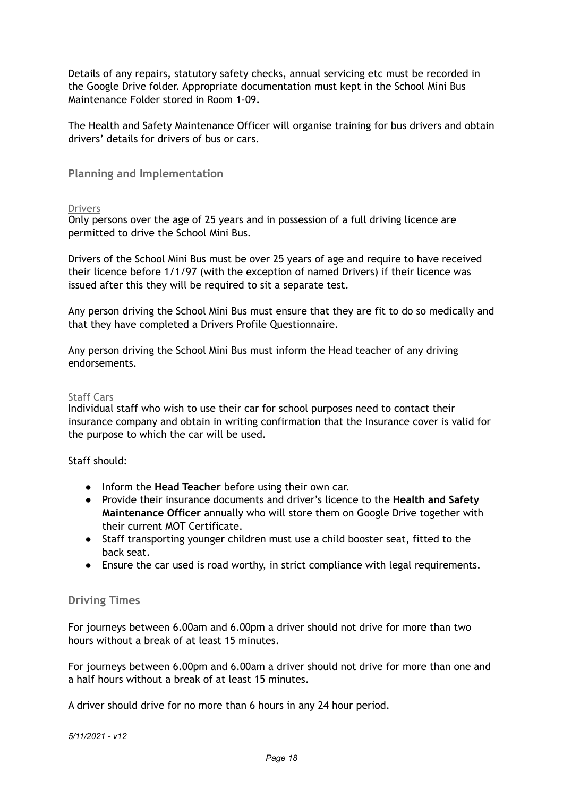Details of any repairs, statutory safety checks, annual servicing etc must be recorded in the Google Drive folder. Appropriate documentation must kept in the School Mini Bus Maintenance Folder stored in Room 1-09.

The Health and Safety Maintenance Officer will organise training for bus drivers and obtain drivers' details for drivers of bus or cars.

#### **Planning and Implementation**

#### Drivers

Only persons over the age of 25 years and in possession of a full driving licence are permitted to drive the School Mini Bus.

Drivers of the School Mini Bus must be over 25 years of age and require to have received their licence before 1/1/97 (with the exception of named Drivers) if their licence was issued after this they will be required to sit a separate test.

Any person driving the School Mini Bus must ensure that they are fit to do so medically and that they have completed a Drivers Profile Questionnaire.

Any person driving the School Mini Bus must inform the Head teacher of any driving endorsements.

#### Staff Cars

Individual staff who wish to use their car for school purposes need to contact their insurance company and obtain in writing confirmation that the Insurance cover is valid for the purpose to which the car will be used.

#### Staff should:

- Inform the **Head Teacher** before using their own car.
- Provide their insurance documents and driver's licence to the **Health and Safety Maintenance Officer** annually who will store them on Google Drive together with their current MOT Certificate.
- Staff transporting younger children must use a child booster seat, fitted to the back seat.
- Ensure the car used is road worthy, in strict compliance with legal requirements.

#### **Driving Times**

For journeys between 6.00am and 6.00pm a driver should not drive for more than two hours without a break of at least 15 minutes.

For journeys between 6.00pm and 6.00am a driver should not drive for more than one and a half hours without a break of at least 15 minutes.

A driver should drive for no more than 6 hours in any 24 hour period.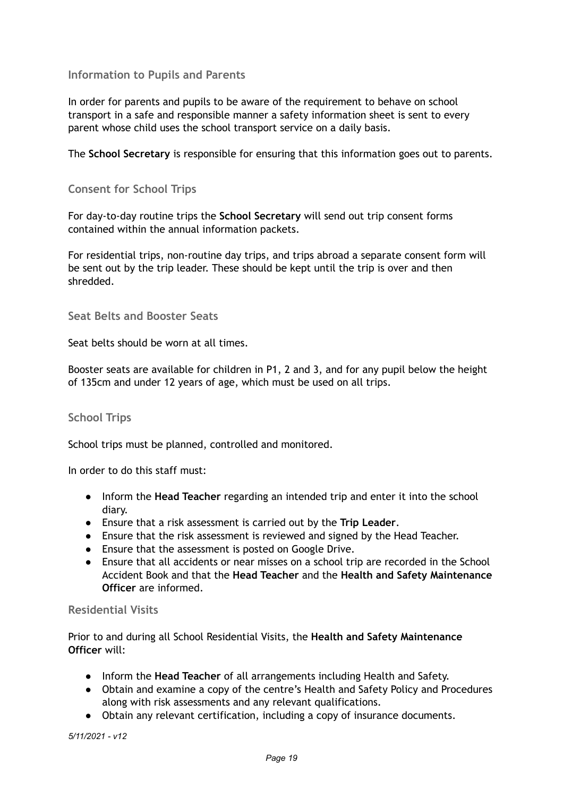### **Information to Pupils and Parents**

In order for parents and pupils to be aware of the requirement to behave on school transport in a safe and responsible manner a safety information sheet is sent to every parent whose child uses the school transport service on a daily basis.

The **School Secretary** is responsible for ensuring that this information goes out to parents.

#### **Consent for School Trips**

For day-to-day routine trips the **School Secretary** will send out trip consent forms contained within the annual information packets.

For residential trips, non-routine day trips, and trips abroad a separate consent form will be sent out by the trip leader. These should be kept until the trip is over and then shredded.

**Seat Belts and Booster Seats**

Seat belts should be worn at all times.

Booster seats are available for children in P1, 2 and 3, and for any pupil below the height of 135cm and under 12 years of age, which must be used on all trips.

#### **School Trips**

School trips must be planned, controlled and monitored.

In order to do this staff must:

- Inform the **Head Teacher** regarding an intended trip and enter it into the school diary.
- Ensure that a risk assessment is carried out by the **Trip Leader**.
- Ensure that the risk assessment is reviewed and signed by the Head Teacher.
- Ensure that the assessment is posted on Google Drive.
- Ensure that all accidents or near misses on a school trip are recorded in the School Accident Book and that the **Head Teacher** and the **Health and Safety Maintenance Officer** are informed.

#### **Residential Visits**

Prior to and during all School Residential Visits, the **Health and Safety Maintenance Officer** will:

- Inform the **Head Teacher** of all arrangements including Health and Safety.
- Obtain and examine a copy of the centre's Health and Safety Policy and Procedures along with risk assessments and any relevant qualifications.
- Obtain any relevant certification, including a copy of insurance documents.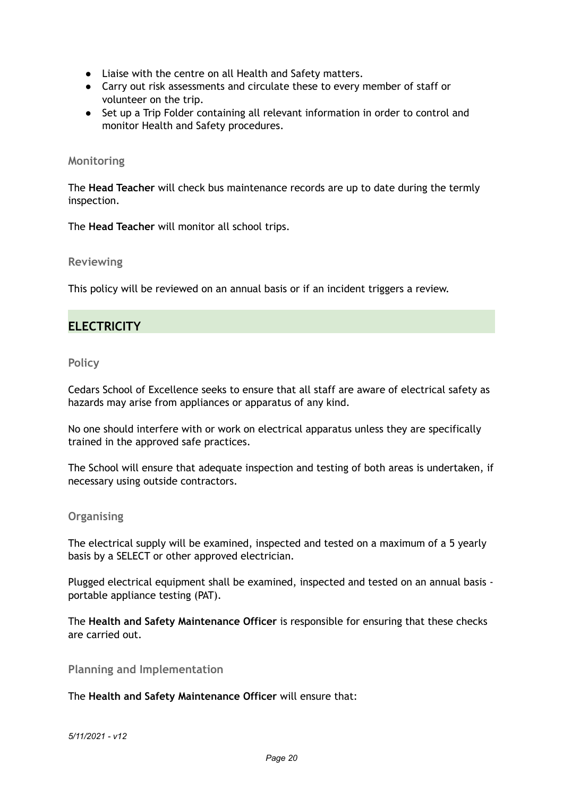- Liaise with the centre on all Health and Safety matters.
- Carry out risk assessments and circulate these to every member of staff or volunteer on the trip.
- Set up a Trip Folder containing all relevant information in order to control and monitor Health and Safety procedures.

#### **Monitoring**

The **Head Teacher** will check bus maintenance records are up to date during the termly inspection.

The **Head Teacher** will monitor all school trips.

**Reviewing**

This policy will be reviewed on an annual basis or if an incident triggers a review.

## **ELECTRICITY**

#### **Policy**

Cedars School of Excellence seeks to ensure that all staff are aware of electrical safety as hazards may arise from appliances or apparatus of any kind.

No one should interfere with or work on electrical apparatus unless they are specifically trained in the approved safe practices.

The School will ensure that adequate inspection and testing of both areas is undertaken, if necessary using outside contractors.

#### **Organising**

The electrical supply will be examined, inspected and tested on a maximum of a 5 yearly basis by a SELECT or other approved electrician.

Plugged electrical equipment shall be examined, inspected and tested on an annual basis portable appliance testing (PAT).

The **Health and Safety Maintenance Officer** is responsible for ensuring that these checks are carried out.

**Planning and Implementation**

The **Health and Safety Maintenance Officer** will ensure that: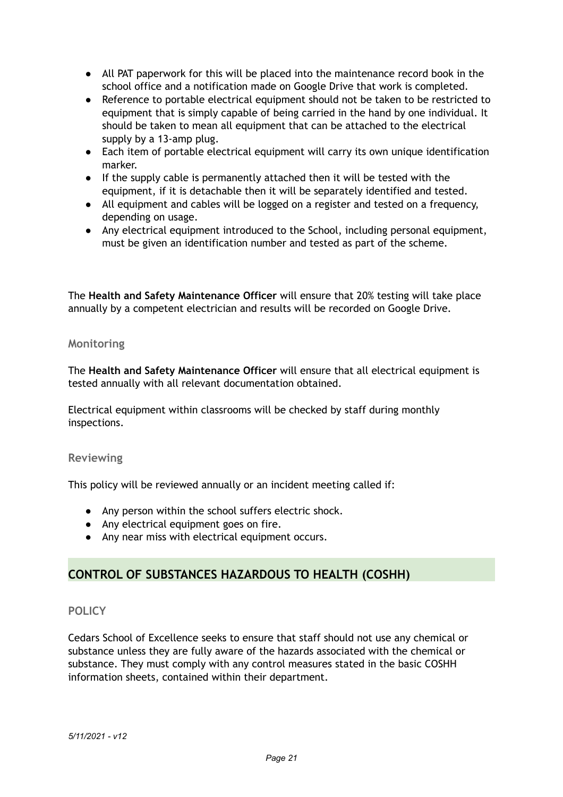- All PAT paperwork for this will be placed into the maintenance record book in the school office and a notification made on Google Drive that work is completed.
- Reference to portable electrical equipment should not be taken to be restricted to equipment that is simply capable of being carried in the hand by one individual. It should be taken to mean all equipment that can be attached to the electrical supply by a 13-amp plug.
- Each item of portable electrical equipment will carry its own unique identification marker.
- If the supply cable is permanently attached then it will be tested with the equipment, if it is detachable then it will be separately identified and tested.
- All equipment and cables will be logged on a register and tested on a frequency, depending on usage.
- Any electrical equipment introduced to the School, including personal equipment, must be given an identification number and tested as part of the scheme.

The **Health and Safety Maintenance Officer** will ensure that 20% testing will take place annually by a competent electrician and results will be recorded on Google Drive.

#### **Monitoring**

The **Health and Safety Maintenance Officer** will ensure that all electrical equipment is tested annually with all relevant documentation obtained.

Electrical equipment within classrooms will be checked by staff during monthly inspections.

#### **Reviewing**

This policy will be reviewed annually or an incident meeting called if:

- Any person within the school suffers electric shock.
- Any electrical equipment goes on fire.
- Any near miss with electrical equipment occurs.

## **CONTROL OF SUBSTANCES HAZARDOUS TO HEALTH (COSHH)**

#### **POLICY**

Cedars School of Excellence seeks to ensure that staff should not use any chemical or substance unless they are fully aware of the hazards associated with the chemical or substance. They must comply with any control measures stated in the basic COSHH information sheets, contained within their department.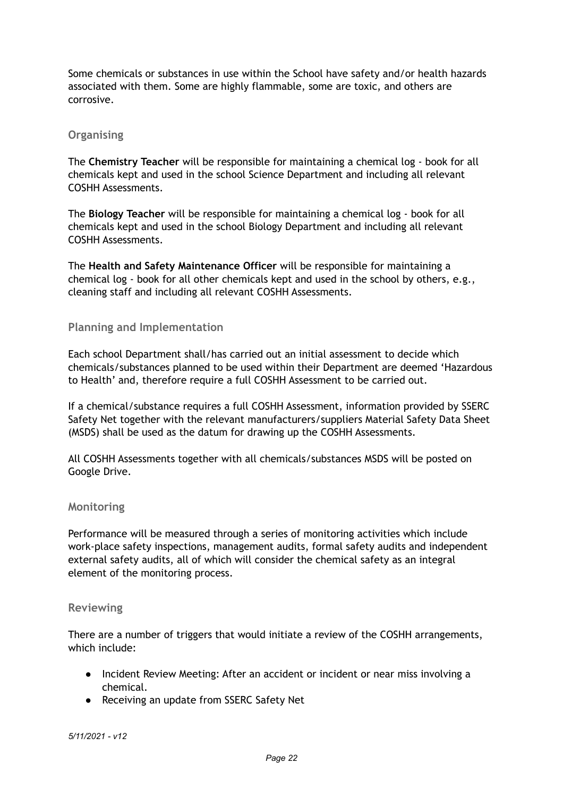Some chemicals or substances in use within the School have safety and/or health hazards associated with them. Some are highly flammable, some are toxic, and others are corrosive.

#### **Organising**

The **Chemistry Teacher** will be responsible for maintaining a chemical log - book for all chemicals kept and used in the school Science Department and including all relevant COSHH Assessments.

The **Biology Teacher** will be responsible for maintaining a chemical log - book for all chemicals kept and used in the school Biology Department and including all relevant COSHH Assessments.

The **Health and Safety Maintenance Officer** will be responsible for maintaining a chemical log - book for all other chemicals kept and used in the school by others, e.g., cleaning staff and including all relevant COSHH Assessments.

#### **Planning and Implementation**

Each school Department shall/has carried out an initial assessment to decide which chemicals/substances planned to be used within their Department are deemed 'Hazardous to Health' and, therefore require a full COSHH Assessment to be carried out.

If a chemical/substance requires a full COSHH Assessment, information provided by SSERC Safety Net together with the relevant manufacturers/suppliers Material Safety Data Sheet (MSDS) shall be used as the datum for drawing up the COSHH Assessments.

All COSHH Assessments together with all chemicals/substances MSDS will be posted on Google Drive.

#### **Monitoring**

Performance will be measured through a series of monitoring activities which include work-place safety inspections, management audits, formal safety audits and independent external safety audits, all of which will consider the chemical safety as an integral element of the monitoring process.

#### **Reviewing**

There are a number of triggers that would initiate a review of the COSHH arrangements, which include:

- Incident Review Meeting: After an accident or incident or near miss involving a chemical.
- Receiving an update from SSERC Safety Net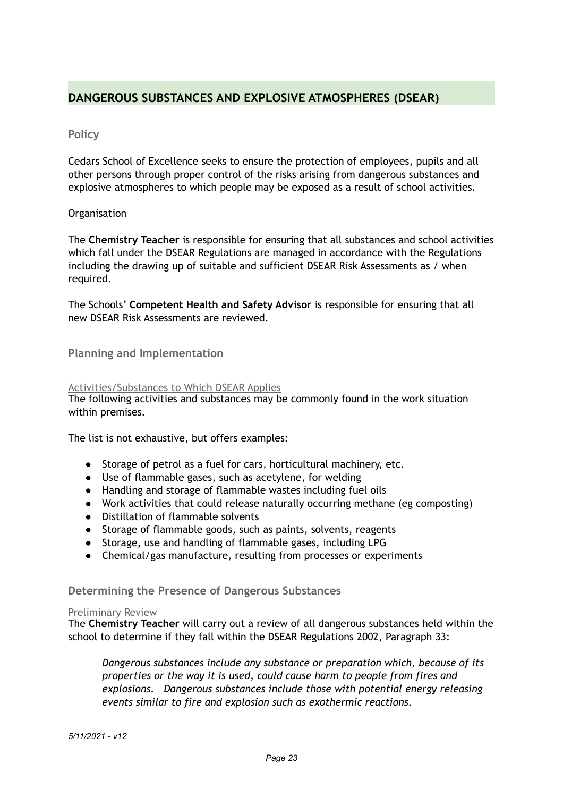## **DANGEROUS SUBSTANCES AND EXPLOSIVE ATMOSPHERES (DSEAR)**

#### **Policy**

Cedars School of Excellence seeks to ensure the protection of employees, pupils and all other persons through proper control of the risks arising from dangerous substances and explosive atmospheres to which people may be exposed as a result of school activities.

#### **Organisation**

The **Chemistry Teacher** is responsible for ensuring that all substances and school activities which fall under the DSEAR Regulations are managed in accordance with the Regulations including the drawing up of suitable and sufficient DSEAR Risk Assessments as / when required.

The Schools' **Competent Health and Safety Advisor** is responsible for ensuring that all new DSEAR Risk Assessments are reviewed.

#### **Planning and Implementation**

#### Activities/Substances to Which DSEAR Applies

The following activities and substances may be commonly found in the work situation within premises.

The list is not exhaustive, but offers examples:

- Storage of petrol as a fuel for cars, horticultural machinery, etc.
- Use of flammable gases, such as acetylene, for welding
- Handling and storage of flammable wastes including fuel oils
- Work activities that could release naturally occurring methane (eg composting)
- Distillation of flammable solvents
- Storage of flammable goods, such as paints, solvents, reagents
- Storage, use and handling of flammable gases, including LPG
- Chemical/gas manufacture, resulting from processes or experiments

#### **Determining the Presence of Dangerous Substances**

#### Preliminary Review

The **Chemistry Teacher** will carry out a review of all dangerous substances held within the school to determine if they fall within the DSEAR Regulations 2002, Paragraph 33:

*Dangerous substances include any substance or preparation which, because of its properties or the way it is used, could cause harm to people from fires and explosions. Dangerous substances include those with potential energy releasing events similar to fire and explosion such as exothermic reactions.*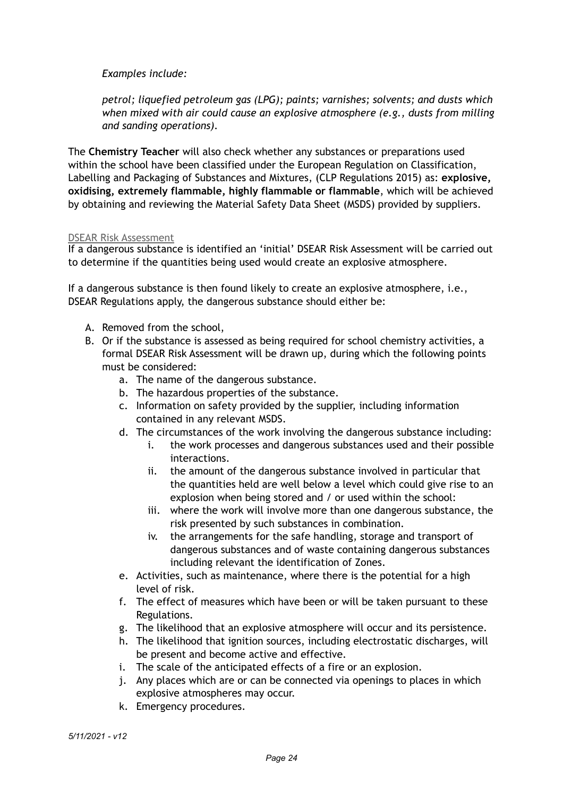*Examples include:* 

*petrol; liquefied petroleum gas (LPG); paints; varnishes; solvents; and dusts which when mixed with air could cause an explosive atmosphere (e.g., dusts from milling and sanding operations).*

The **Chemistry Teacher** will also check whether any substances or preparations used within the school have been classified under the European Regulation on Classification, Labelling and Packaging of Substances and Mixtures, (CLP Regulations 2015) as: **explosive, oxidising, extremely flammable, highly flammable or flammable**, which will be achieved by obtaining and reviewing the Material Safety Data Sheet (MSDS) provided by suppliers.

#### DSEAR Risk Assessment

If a dangerous substance is identified an 'initial' DSEAR Risk Assessment will be carried out to determine if the quantities being used would create an explosive atmosphere.

If a dangerous substance is then found likely to create an explosive atmosphere, i.e., DSEAR Regulations apply, the dangerous substance should either be:

- A. Removed from the school,
- B. Or if the substance is assessed as being required for school chemistry activities, a formal DSEAR Risk Assessment will be drawn up, during which the following points must be considered:
	- a. The name of the dangerous substance.
	- b. The hazardous properties of the substance.
	- c. Information on safety provided by the supplier, including information contained in any relevant MSDS.
	- d. The circumstances of the work involving the dangerous substance including:
		- i. the work processes and dangerous substances used and their possible interactions.
		- ii. the amount of the dangerous substance involved in particular that the quantities held are well below a level which could give rise to an explosion when being stored and / or used within the school:
		- iii. where the work will involve more than one dangerous substance, the risk presented by such substances in combination.
		- iv. the arrangements for the safe handling, storage and transport of dangerous substances and of waste containing dangerous substances including relevant the identification of Zones.
	- e. Activities, such as maintenance, where there is the potential for a high level of risk.
	- f. The effect of measures which have been or will be taken pursuant to these Regulations.
	- g. The likelihood that an explosive atmosphere will occur and its persistence.
	- h. The likelihood that ignition sources, including electrostatic discharges, will be present and become active and effective.
	- i. The scale of the anticipated effects of a fire or an explosion.
	- j. Any places which are or can be connected via openings to places in which explosive atmospheres may occur.
	- k. Emergency procedures.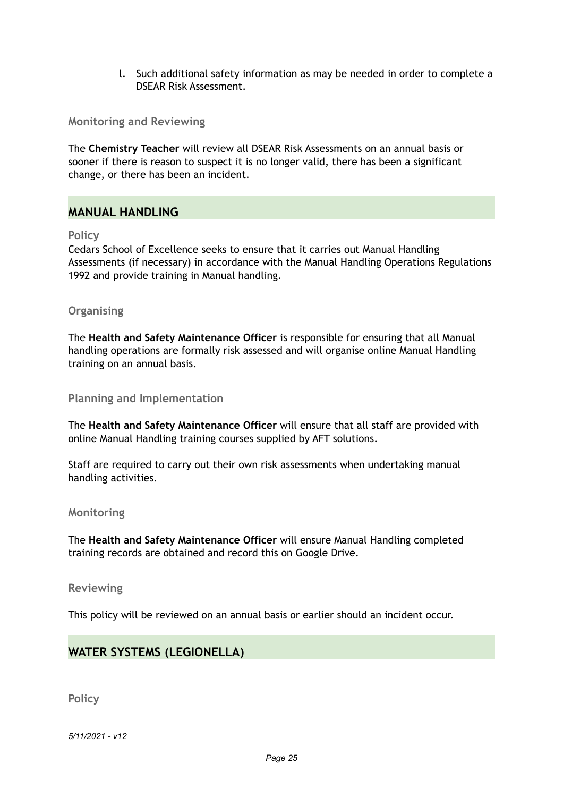l. Such additional safety information as may be needed in order to complete a DSEAR Risk Assessment.

**Monitoring and Reviewing**

The **Chemistry Teacher** will review all DSEAR Risk Assessments on an annual basis or sooner if there is reason to suspect it is no longer valid, there has been a significant change, or there has been an incident.

## **MANUAL HANDLING**

#### **Policy**

Cedars School of Excellence seeks to ensure that it carries out Manual Handling Assessments (if necessary) in accordance with the Manual Handling Operations Regulations 1992 and provide training in Manual handling.

#### **Organising**

The **Health and Safety Maintenance Officer** is responsible for ensuring that all Manual handling operations are formally risk assessed and will organise online Manual Handling training on an annual basis.

**Planning and Implementation**

The **Health and Safety Maintenance Officer** will ensure that all staff are provided with online Manual Handling training courses supplied by AFT solutions.

Staff are required to carry out their own risk assessments when undertaking manual handling activities.

#### **Monitoring**

The **Health and Safety Maintenance Officer** will ensure Manual Handling completed training records are obtained and record this on Google Drive.

#### **Reviewing**

This policy will be reviewed on an annual basis or earlier should an incident occur.

## **WATER SYSTEMS (LEGIONELLA)**

**Policy**

*5/11/2021 - v12*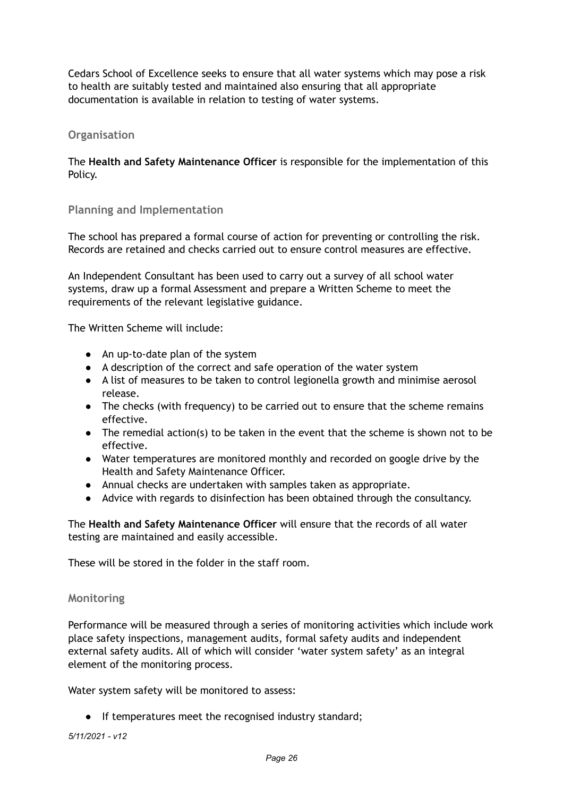Cedars School of Excellence seeks to ensure that all water systems which may pose a risk to health are suitably tested and maintained also ensuring that all appropriate documentation is available in relation to testing of water systems.

#### **Organisation**

The **Health and Safety Maintenance Officer** is responsible for the implementation of this Policy.

## **Planning and Implementation**

The school has prepared a formal course of action for preventing or controlling the risk. Records are retained and checks carried out to ensure control measures are effective.

An Independent Consultant has been used to carry out a survey of all school water systems, draw up a formal Assessment and prepare a Written Scheme to meet the requirements of the relevant legislative guidance.

The Written Scheme will include:

- An up-to-date plan of the system
- A description of the correct and safe operation of the water system
- A list of measures to be taken to control legionella growth and minimise aerosol release.
- The checks (with frequency) to be carried out to ensure that the scheme remains effective.
- The remedial action(s) to be taken in the event that the scheme is shown not to be effective.
- Water temperatures are monitored monthly and recorded on google drive by the Health and Safety Maintenance Officer.
- Annual checks are undertaken with samples taken as appropriate.
- Advice with regards to disinfection has been obtained through the consultancy.

The **Health and Safety Maintenance Officer** will ensure that the records of all water testing are maintained and easily accessible.

These will be stored in the folder in the staff room.

#### **Monitoring**

Performance will be measured through a series of monitoring activities which include work place safety inspections, management audits, formal safety audits and independent external safety audits. All of which will consider 'water system safety' as an integral element of the monitoring process.

Water system safety will be monitored to assess:

● If temperatures meet the recognised industry standard;

*5/11/2021 - v12*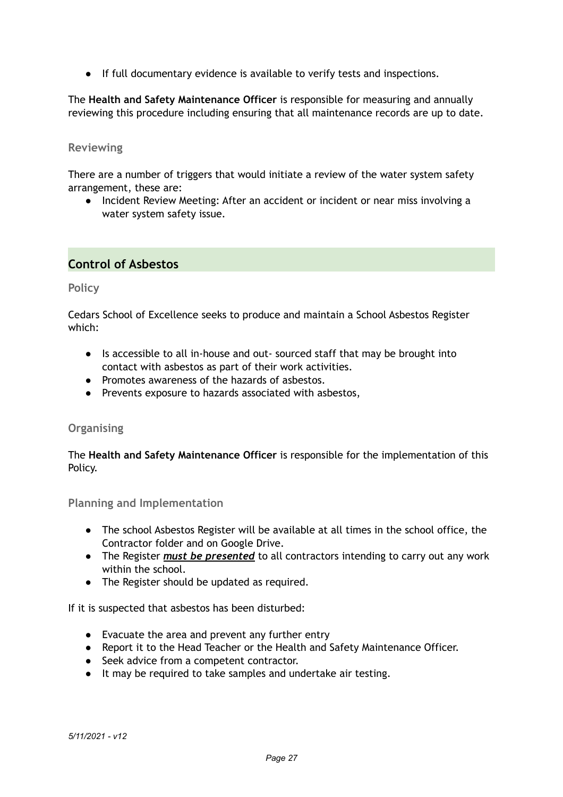● If full documentary evidence is available to verify tests and inspections.

The **Health and Safety Maintenance Officer** is responsible for measuring and annually reviewing this procedure including ensuring that all maintenance records are up to date.

#### **Reviewing**

There are a number of triggers that would initiate a review of the water system safety arrangement, these are:

● Incident Review Meeting: After an accident or incident or near miss involving a water system safety issue.

## **Control of Asbestos**

#### **Policy**

Cedars School of Excellence seeks to produce and maintain a School Asbestos Register which:

- Is accessible to all in-house and out- sourced staff that may be brought into contact with asbestos as part of their work activities.
- Promotes awareness of the hazards of asbestos.
- Prevents exposure to hazards associated with asbestos,

#### **Organising**

The **Health and Safety Maintenance Officer** is responsible for the implementation of this Policy.

**Planning and Implementation**

- The school Asbestos Register will be available at all times in the school office, the Contractor folder and on Google Drive.
- The Register *must be presented* to all contractors intending to carry out any work within the school.
- The Register should be updated as required.

If it is suspected that asbestos has been disturbed:

- Evacuate the area and prevent any further entry
- Report it to the Head Teacher or the Health and Safety Maintenance Officer.
- Seek advice from a competent contractor.
- It may be required to take samples and undertake air testing.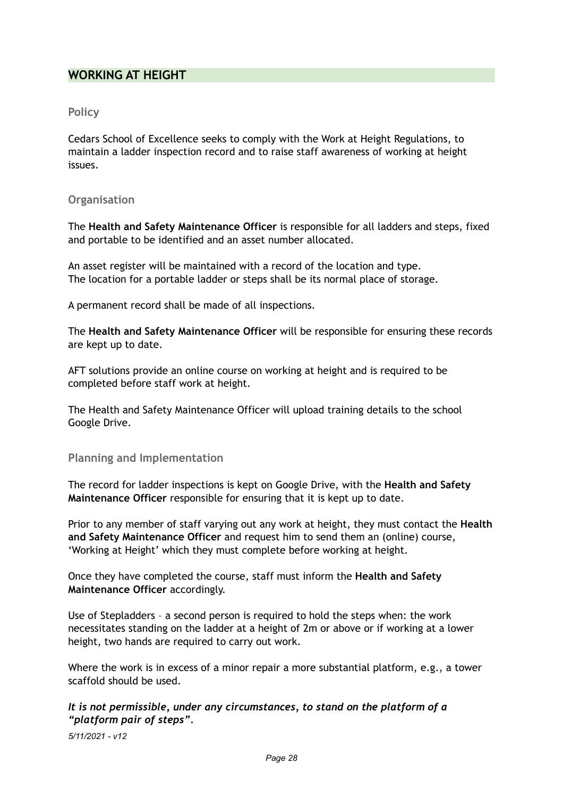## **WORKING AT HEIGHT**

#### **Policy**

Cedars School of Excellence seeks to comply with the Work at Height Regulations, to maintain a ladder inspection record and to raise staff awareness of working at height issues.

#### **Organisation**

The **Health and Safety Maintenance Officer** is responsible for all ladders and steps, fixed and portable to be identified and an asset number allocated.

An asset register will be maintained with a record of the location and type. The location for a portable ladder or steps shall be its normal place of storage.

A permanent record shall be made of all inspections.

The **Health and Safety Maintenance Officer** will be responsible for ensuring these records are kept up to date.

AFT solutions provide an online course on working at height and is required to be completed before staff work at height.

The Health and Safety Maintenance Officer will upload training details to the school Google Drive.

#### **Planning and Implementation**

The record for ladder inspections is kept on Google Drive, with the **Health and Safety Maintenance Officer** responsible for ensuring that it is kept up to date.

Prior to any member of staff varying out any work at height, they must contact the **Health and Safety Maintenance Officer** and request him to send them an (online) course, 'Working at Height' which they must complete before working at height.

Once they have completed the course, staff must inform the **Health and Safety Maintenance Officer** accordingly.

Use of Stepladders – a second person is required to hold the steps when: the work necessitates standing on the ladder at a height of 2m or above or if working at a lower height, two hands are required to carry out work.

Where the work is in excess of a minor repair a more substantial platform, e.g., a tower scaffold should be used.

## *It is not permissible, under any circumstances, to stand on the platform of a "platform pair of steps".*

*5/11/2021 - v12*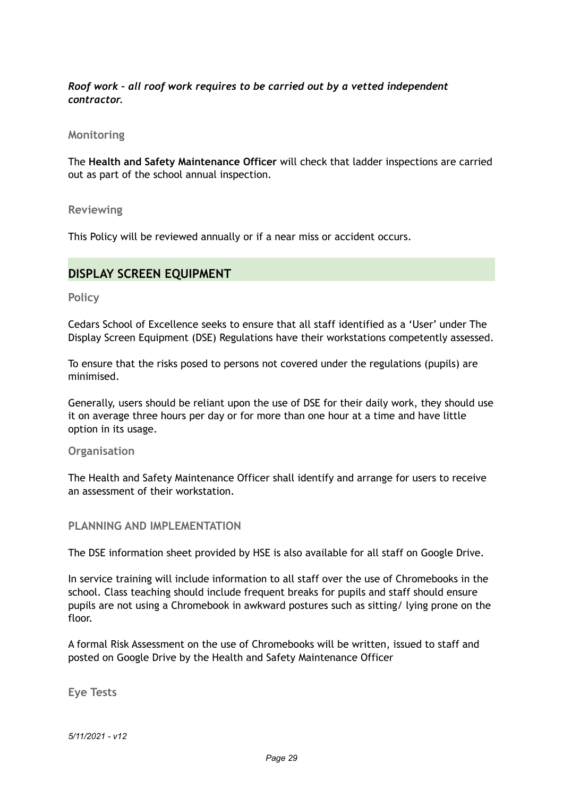## *Roof work – all roof work requires to be carried out by a vetted independent contractor.*

#### **Monitoring**

The **Health and Safety Maintenance Officer** will check that ladder inspections are carried out as part of the school annual inspection.

**Reviewing** 

This Policy will be reviewed annually or if a near miss or accident occurs.

## **DISPLAY SCREEN EQUIPMENT**

**Policy** 

Cedars School of Excellence seeks to ensure that all staff identified as a 'User' under The Display Screen Equipment (DSE) Regulations have their workstations competently assessed.

To ensure that the risks posed to persons not covered under the regulations (pupils) are minimised.

Generally, users should be reliant upon the use of DSE for their daily work, they should use it on average three hours per day or for more than one hour at a time and have little option in its usage.

**Organisation** 

The Health and Safety Maintenance Officer shall identify and arrange for users to receive an assessment of their workstation.

**PLANNING AND IMPLEMENTATION**

The DSE information sheet provided by HSE is also available for all staff on Google Drive.

In service training will include information to all staff over the use of Chromebooks in the school. Class teaching should include frequent breaks for pupils and staff should ensure pupils are not using a Chromebook in awkward postures such as sitting/ lying prone on the floor.

A formal Risk Assessment on the use of Chromebooks will be written, issued to staff and posted on Google Drive by the Health and Safety Maintenance Officer

**Eye Tests** 

*5/11/2021 - v12*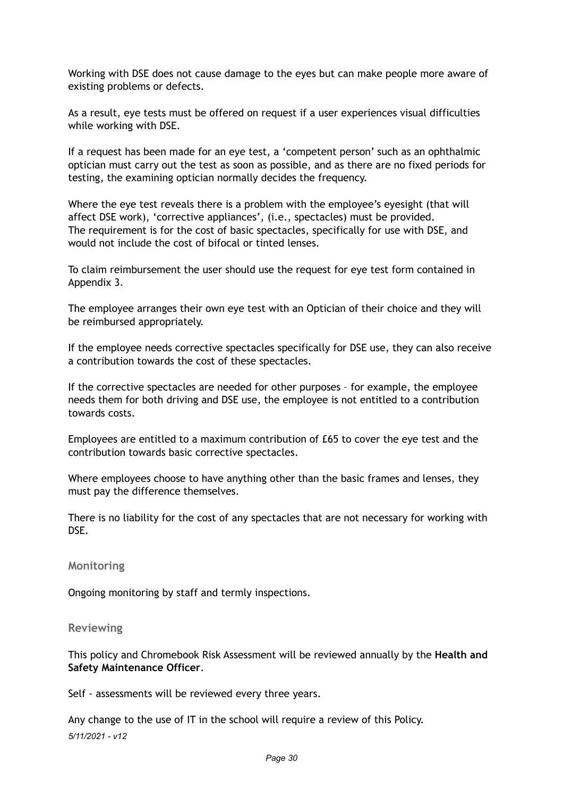Working with DSE does not cause damage to the eyes but can make people more aware of existing problems or defects.

As a result, eye tests must be offered on request if a user experiences visual difficulties while working with DSE.

If a request has been made for an eye test, a 'competent person' such as an ophthalmic optician must carry out the test as soon as possible, and as there are no fixed periods for testing, the examining optician normally decides the frequency.

Where the eye test reveals there is a problem with the employee's eyesight (that will affect DSE work), 'corrective appliances', (i.e., spectacles) must be provided. The requirement is for the cost of basic spectacles, specifically for use with DSE, and would not include the cost of bifocal or tinted lenses.

To claim reimbursement the user should use the request for eye test form contained in Appendix 3.

The employee arranges their own eye test with an Optician of their choice and they will be reimbursed appropriately.

If the employee needs corrective spectacles specifically for DSE use, they can also receive a contribution towards the cost of these spectacles.

If the corrective spectacles are needed for other purposes – for example, the employee needs them for both driving and DSE use, the employee is not entitled to a contribution towards costs.

Employees are entitled to a maximum contribution of £65 to cover the eye test and the contribution towards basic corrective spectacles.

Where employees choose to have anything other than the basic frames and lenses, they must pay the difference themselves.

There is no liability for the cost of any spectacles that are not necessary for working with DSE.

**Monitoring** 

Ongoing monitoring by staff and termly inspections.

**Reviewing** 

This policy and Chromebook Risk Assessment will be reviewed annually by the **Health and Safety Maintenance Officer**.

Self - assessments will be reviewed every three years.

Any change to the use of IT in the school will require a review of this Policy. *5/11/2021 - v12*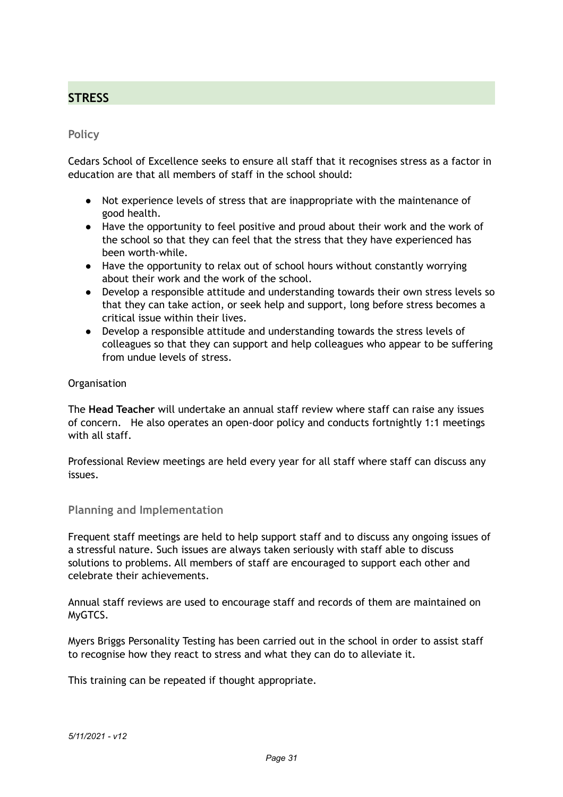## **STRESS**

### **Policy**

Cedars School of Excellence seeks to ensure all staff that it recognises stress as a factor in education are that all members of staff in the school should:

- Not experience levels of stress that are inappropriate with the maintenance of good health.
- Have the opportunity to feel positive and proud about their work and the work of the school so that they can feel that the stress that they have experienced has been worth-while.
- Have the opportunity to relax out of school hours without constantly worrying about their work and the work of the school.
- Develop a responsible attitude and understanding towards their own stress levels so that they can take action, or seek help and support, long before stress becomes a critical issue within their lives.
- Develop a responsible attitude and understanding towards the stress levels of colleagues so that they can support and help colleagues who appear to be suffering from undue levels of stress.

#### **Organisation**

The **Head Teacher** will undertake an annual staff review where staff can raise any issues of concern. He also operates an open-door policy and conducts fortnightly 1:1 meetings with all staff.

Professional Review meetings are held every year for all staff where staff can discuss any issues.

## **Planning and Implementation**

Frequent staff meetings are held to help support staff and to discuss any ongoing issues of a stressful nature. Such issues are always taken seriously with staff able to discuss solutions to problems. All members of staff are encouraged to support each other and celebrate their achievements.

Annual staff reviews are used to encourage staff and records of them are maintained on MyGTCS.

Myers Briggs Personality Testing has been carried out in the school in order to assist staff to recognise how they react to stress and what they can do to alleviate it.

This training can be repeated if thought appropriate.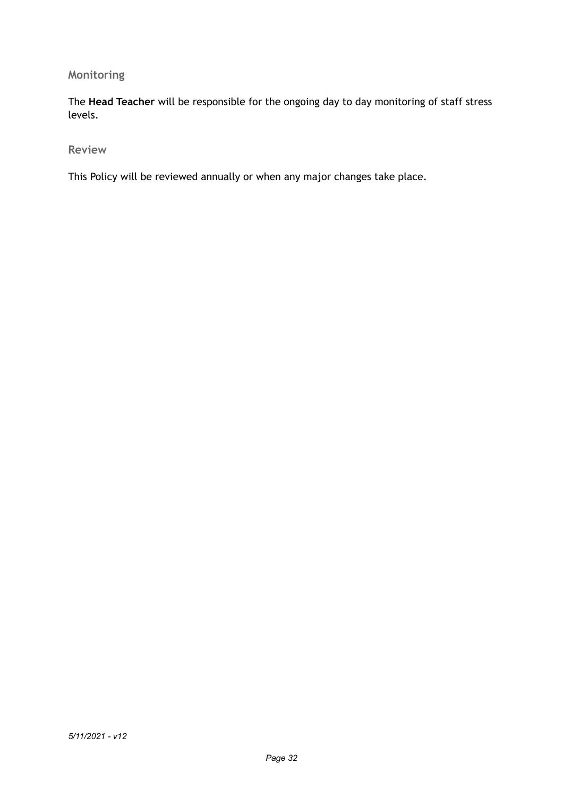## **Monitoring**

The **Head Teacher** will be responsible for the ongoing day to day monitoring of staff stress levels.

**Review** 

This Policy will be reviewed annually or when any major changes take place.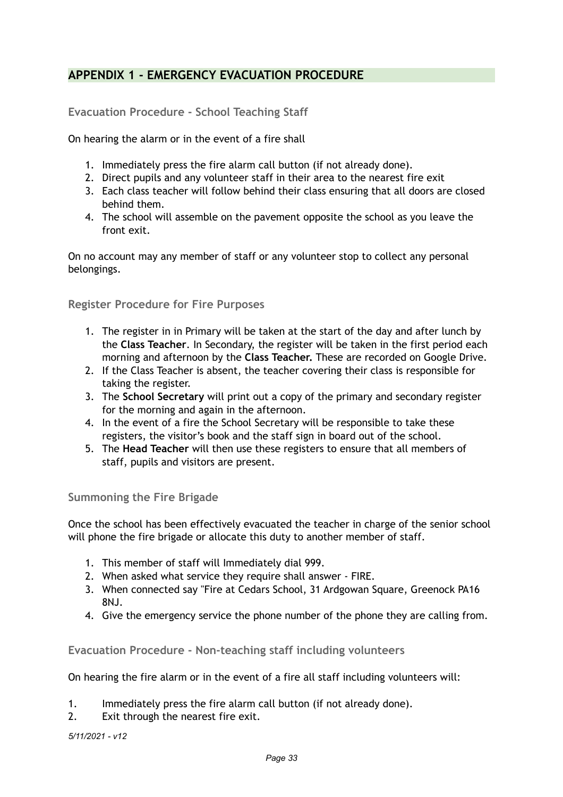## **APPENDIX 1 - EMERGENCY EVACUATION PROCEDURE**

**Evacuation Procedure - School Teaching Staff** 

On hearing the alarm or in the event of a fire shall

- 1. Immediately press the fire alarm call button (if not already done).
- 2. Direct pupils and any volunteer staff in their area to the nearest fire exit
- 3. Each class teacher will follow behind their class ensuring that all doors are closed behind them.
- 4. The school will assemble on the pavement opposite the school as you leave the front exit.

On no account may any member of staff or any volunteer stop to collect any personal belongings.

**Register Procedure for Fire Purposes**

- 1. The register in in Primary will be taken at the start of the day and after lunch by the **Class Teacher**. In Secondary, the register will be taken in the first period each morning and afternoon by the **Class Teacher.** These are recorded on Google Drive.
- 2. If the Class Teacher is absent, the teacher covering their class is responsible for taking the register.
- 3. The **School Secretary** will print out a copy of the primary and secondary register for the morning and again in the afternoon.
- 4. In the event of a fire the School Secretary will be responsible to take these registers, the visitor's book and the staff sign in board out of the school.
- 5. The **Head Teacher** will then use these registers to ensure that all members of staff, pupils and visitors are present.

**Summoning the Fire Brigade**

Once the school has been effectively evacuated the teacher in charge of the senior school will phone the fire brigade or allocate this duty to another member of staff.

- 1. This member of staff will Immediately dial 999.
- 2. When asked what service they require shall answer FIRE.
- 3. When connected say "Fire at Cedars School, 31 Ardgowan Square, Greenock PA16 8NJ.
- 4. Give the emergency service the phone number of the phone they are calling from.

**Evacuation Procedure - Non-teaching staff including volunteers** 

On hearing the fire alarm or in the event of a fire all staff including volunteers will:

- 1. Immediately press the fire alarm call button (if not already done).
- 2. Exit through the nearest fire exit.

*5/11/2021 - v12*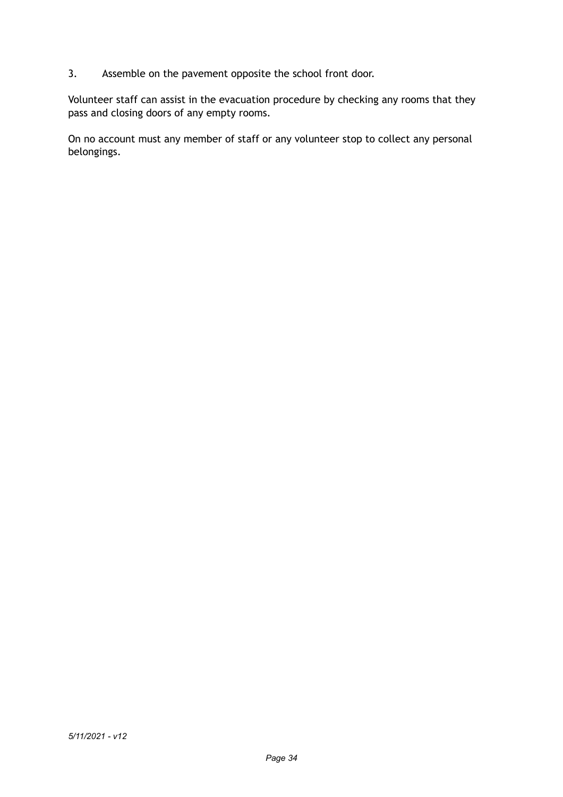3. Assemble on the pavement opposite the school front door.

Volunteer staff can assist in the evacuation procedure by checking any rooms that they pass and closing doors of any empty rooms.

On no account must any member of staff or any volunteer stop to collect any personal belongings.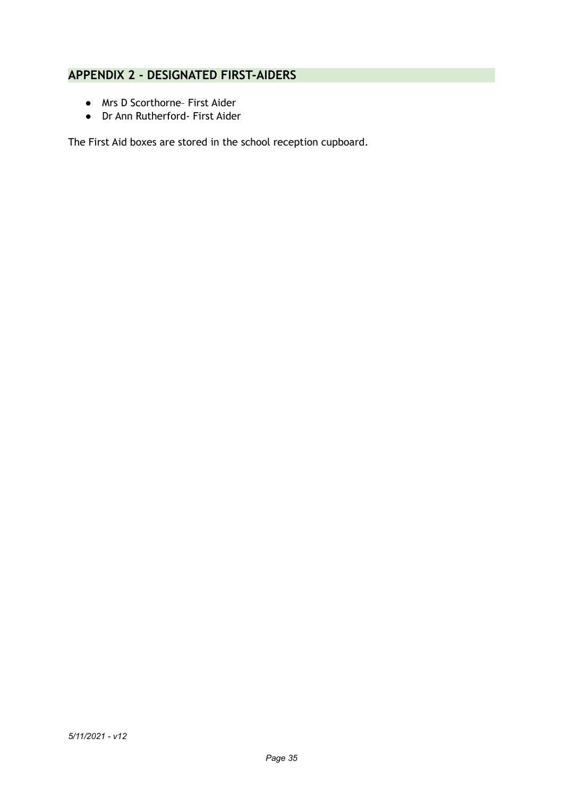## **APPENDIX 2 - DESIGNATED FIRST-AIDERS**

- Mrs D Scorthorne– First Aider
- Dr Ann Rutherford- First Aider

The First Aid boxes are stored in the school reception cupboard.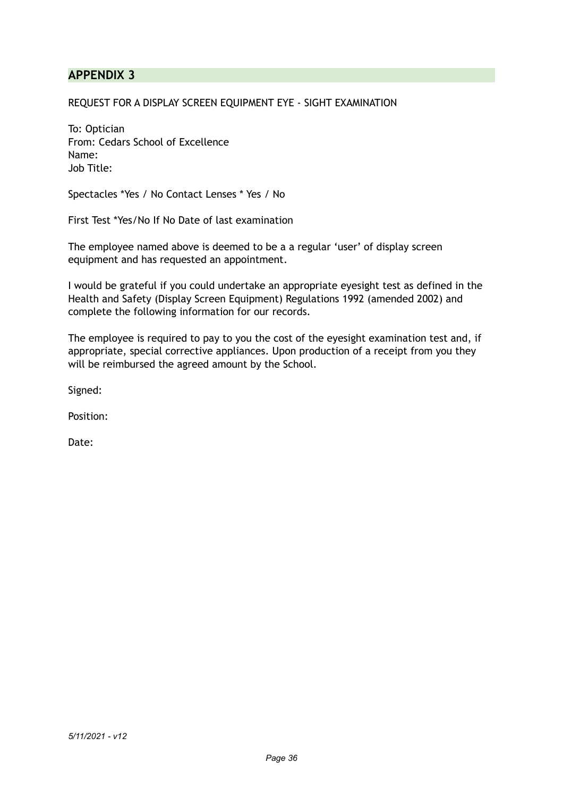## **APPENDIX 3**

REQUEST FOR A DISPLAY SCREEN EQUIPMENT EYE - SIGHT EXAMINATION

To: Optician From: Cedars School of Excellence Name: Job Title:

Spectacles \*Yes / No Contact Lenses \* Yes / No

First Test \*Yes/No If No Date of last examination

The employee named above is deemed to be a a regular 'user' of display screen equipment and has requested an appointment.

I would be grateful if you could undertake an appropriate eyesight test as defined in the Health and Safety (Display Screen Equipment) Regulations 1992 (amended 2002) and complete the following information for our records.

The employee is required to pay to you the cost of the eyesight examination test and, if appropriate, special corrective appliances. Upon production of a receipt from you they will be reimbursed the agreed amount by the School.

Signed:

Position:

Date: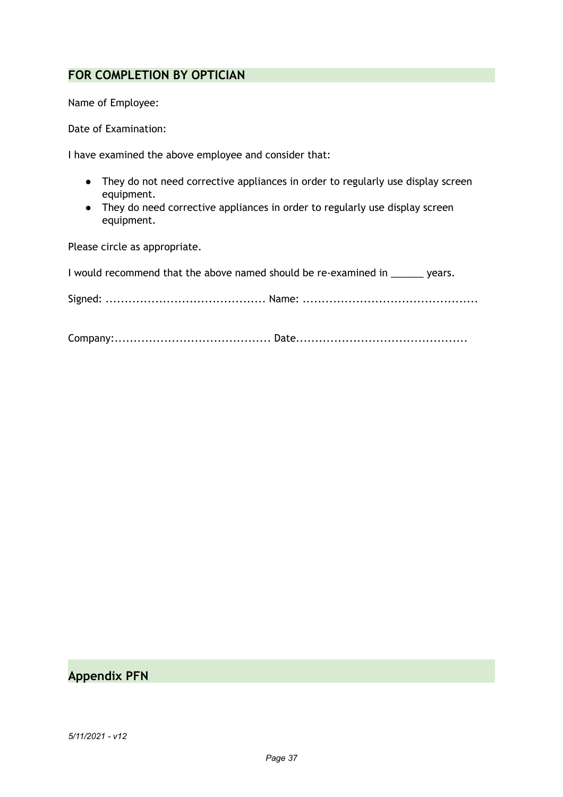## **FOR COMPLETION BY OPTICIAN**

Name of Employee:

Date of Examination:

I have examined the above employee and consider that:

- They do not need corrective appliances in order to regularly use display screen equipment.
- They do need corrective appliances in order to regularly use display screen equipment.

Please circle as appropriate.

| I would recommend that the above named should be re-examined in stature years. |  |
|--------------------------------------------------------------------------------|--|
|                                                                                |  |
|                                                                                |  |

## **Appendix PFN**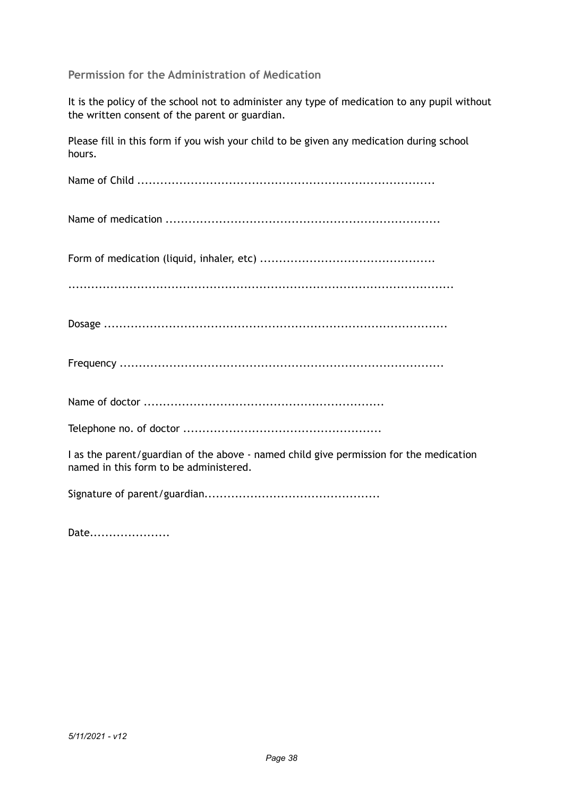### **Permission for the Administration of Medication**

It is the policy of the school not to administer any type of medication to any pupil without the written consent of the parent or guardian.

Please fill in this form if you wish your child to be given any medication during school hours.

Name of Child ..............................................................................

Name of medication ........................................................................

Form of medication (liquid, inhaler, etc) ..............................................

.....................................................................................................

|--|--|

Frequency .....................................................................................

Name of doctor ...............................................................

Telephone no. of doctor ....................................................

I as the parent/guardian of the above - named child give permission for the medication named in this form to be administered.

Signature of parent/guardian..............................................

Date....................